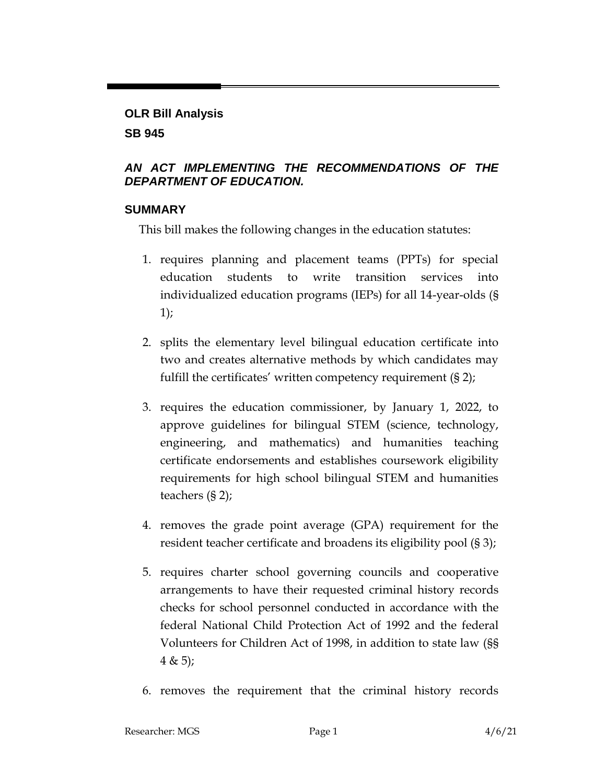# **OLR Bill Analysis SB 945**

## *AN ACT IMPLEMENTING THE RECOMMENDATIONS OF THE DEPARTMENT OF EDUCATION.*

## **SUMMARY**

This bill makes the following changes in the education statutes:

- 1. requires planning and placement teams (PPTs) for special education students to write transition services into individualized education programs (IEPs) for all 14-year-olds (§ 1);
- 2. splits the elementary level bilingual education certificate into two and creates alternative methods by which candidates may fulfill the certificates' written competency requirement (§ 2);
- 3. requires the education commissioner, by January 1, 2022, to approve guidelines for bilingual STEM (science, technology, engineering, and mathematics) and humanities teaching certificate endorsements and establishes coursework eligibility requirements for high school bilingual STEM and humanities teachers (§ 2);
- 4. removes the grade point average (GPA) requirement for the resident teacher certificate and broadens its eligibility pool (§ 3);
- 5. requires charter school governing councils and cooperative arrangements to have their requested criminal history records checks for school personnel conducted in accordance with the federal National Child Protection Act of 1992 and the federal Volunteers for Children Act of 1998, in addition to state law (§§  $4 \& 5);$
- 6. removes the requirement that the criminal history records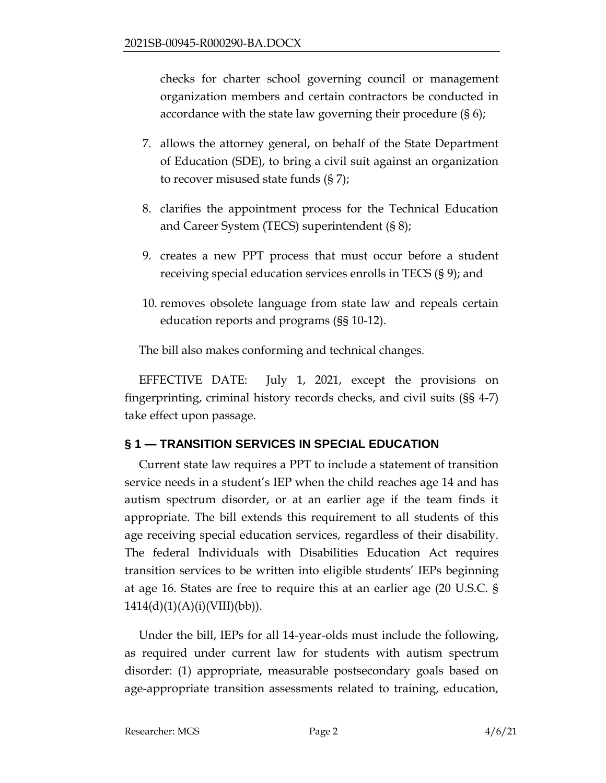checks for charter school governing council or management organization members and certain contractors be conducted in accordance with the state law governing their procedure (§ 6);

- 7. allows the attorney general, on behalf of the State Department of Education (SDE), to bring a civil suit against an organization to recover misused state funds (§ 7);
- 8. clarifies the appointment process for the Technical Education and Career System (TECS) superintendent (§ 8);
- 9. creates a new PPT process that must occur before a student receiving special education services enrolls in TECS (§ 9); and
- 10. removes obsolete language from state law and repeals certain education reports and programs (§§ 10-12).

The bill also makes conforming and technical changes.

EFFECTIVE DATE: July 1, 2021, except the provisions on fingerprinting, criminal history records checks, and civil suits (§§ 4-7) take effect upon passage.

# **§ 1 — TRANSITION SERVICES IN SPECIAL EDUCATION**

Current state law requires a PPT to include a statement of transition service needs in a student's IEP when the child reaches age 14 and has autism spectrum disorder, or at an earlier age if the team finds it appropriate. The bill extends this requirement to all students of this age receiving special education services, regardless of their disability. The federal Individuals with Disabilities Education Act requires transition services to be written into eligible students' IEPs beginning at age 16. States are free to require this at an earlier age (20 U.S.C. §  $1414(d)(1)(A)(i)(VIII)(bb)).$ 

Under the bill, IEPs for all 14-year-olds must include the following, as required under current law for students with autism spectrum disorder: (1) appropriate, measurable postsecondary goals based on age-appropriate transition assessments related to training, education,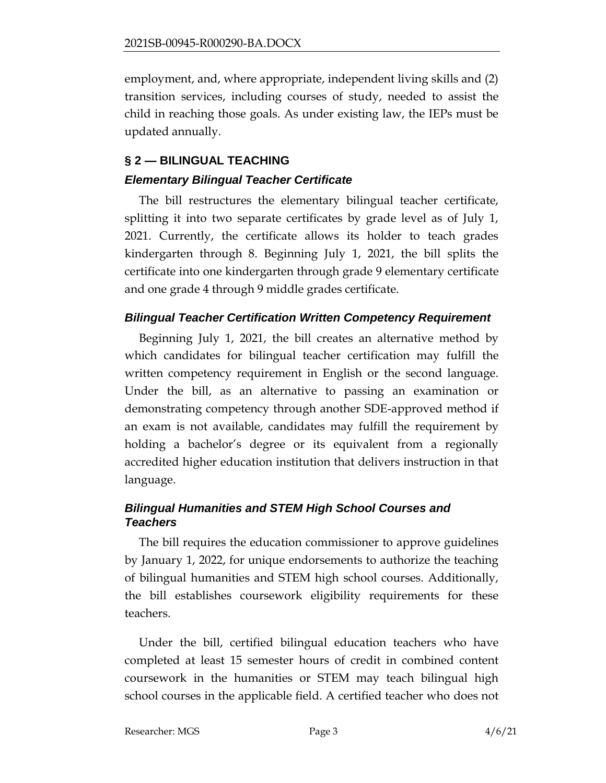employment, and, where appropriate, independent living skills and (2) transition services, including courses of study, needed to assist the child in reaching those goals. As under existing law, the IEPs must be updated annually.

# **§ 2 — BILINGUAL TEACHING**

## *Elementary Bilingual Teacher Certificate*

The bill restructures the elementary bilingual teacher certificate, splitting it into two separate certificates by grade level as of July 1, 2021. Currently, the certificate allows its holder to teach grades kindergarten through 8. Beginning July 1, 2021, the bill splits the certificate into one kindergarten through grade 9 elementary certificate and one grade 4 through 9 middle grades certificate.

# *Bilingual Teacher Certification Written Competency Requirement*

Beginning July 1, 2021, the bill creates an alternative method by which candidates for bilingual teacher certification may fulfill the written competency requirement in English or the second language. Under the bill, as an alternative to passing an examination or demonstrating competency through another SDE-approved method if an exam is not available, candidates may fulfill the requirement by holding a bachelor's degree or its equivalent from a regionally accredited higher education institution that delivers instruction in that language.

# *Bilingual Humanities and STEM High School Courses and Teachers*

The bill requires the education commissioner to approve guidelines by January 1, 2022, for unique endorsements to authorize the teaching of bilingual humanities and STEM high school courses. Additionally, the bill establishes coursework eligibility requirements for these teachers.

Under the bill, certified bilingual education teachers who have completed at least 15 semester hours of credit in combined content coursework in the humanities or STEM may teach bilingual high school courses in the applicable field. A certified teacher who does not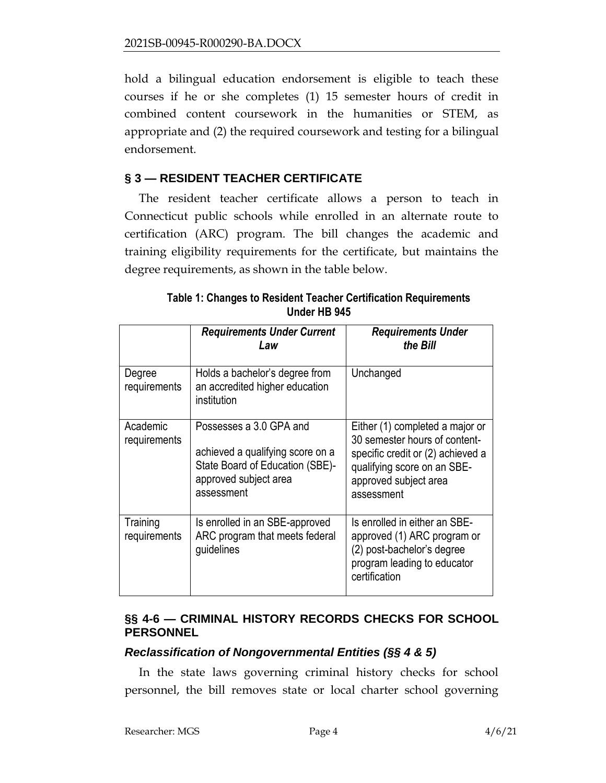hold a bilingual education endorsement is eligible to teach these courses if he or she completes (1) 15 semester hours of credit in combined content coursework in the humanities or STEM, as appropriate and (2) the required coursework and testing for a bilingual endorsement.

# **§ 3 — RESIDENT TEACHER CERTIFICATE**

The resident teacher certificate allows a person to teach in Connecticut public schools while enrolled in an alternate route to certification (ARC) program. The bill changes the academic and training eligibility requirements for the certificate, but maintains the degree requirements, as shown in the table below.

|                          | <b>Requirements Under Current</b><br>Law                                                                                              | <b>Requirements Under</b><br>the Bill                                                                                                                                       |
|--------------------------|---------------------------------------------------------------------------------------------------------------------------------------|-----------------------------------------------------------------------------------------------------------------------------------------------------------------------------|
| Degree<br>requirements   | Holds a bachelor's degree from<br>an accredited higher education<br>institution                                                       | Unchanged                                                                                                                                                                   |
| Academic<br>requirements | Possesses a 3.0 GPA and<br>achieved a qualifying score on a<br>State Board of Education (SBE)-<br>approved subject area<br>assessment | Either (1) completed a major or<br>30 semester hours of content-<br>specific credit or (2) achieved a<br>qualifying score on an SBE-<br>approved subject area<br>assessment |
| Training<br>requirements | Is enrolled in an SBE-approved<br>ARC program that meets federal<br>guidelines                                                        | Is enrolled in either an SBE-<br>approved (1) ARC program or<br>(2) post-bachelor's degree<br>program leading to educator<br>certification                                  |

**Table 1: Changes to Resident Teacher Certification Requirements Under HB 945**

# **§§ 4-6 — CRIMINAL HISTORY RECORDS CHECKS FOR SCHOOL PERSONNEL**

#### *Reclassification of Nongovernmental Entities (§§ 4 & 5)*

In the state laws governing criminal history checks for school personnel, the bill removes state or local charter school governing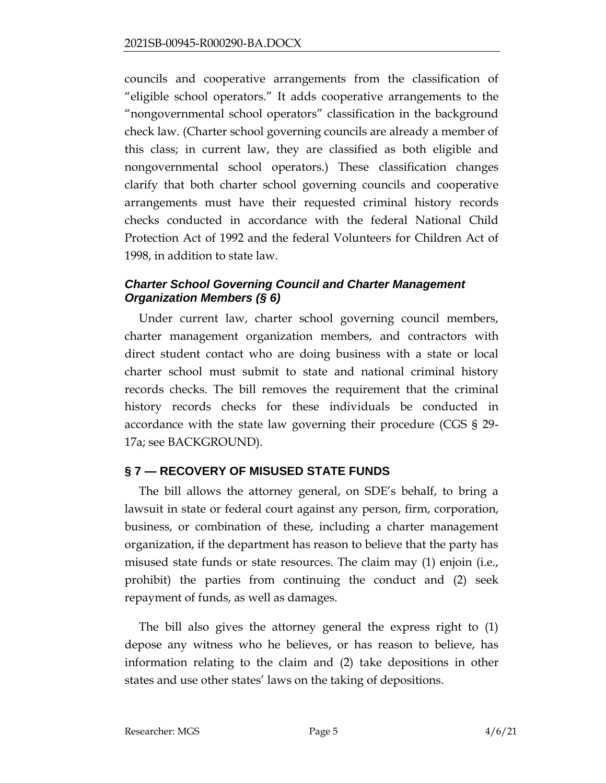councils and cooperative arrangements from the classification of "eligible school operators." It adds cooperative arrangements to the "nongovernmental school operators" classification in the background check law. (Charter school governing councils are already a member of this class; in current law, they are classified as both eligible and nongovernmental school operators.) These classification changes clarify that both charter school governing councils and cooperative arrangements must have their requested criminal history records checks conducted in accordance with the federal National Child Protection Act of 1992 and the federal Volunteers for Children Act of 1998, in addition to state law.

## *Charter School Governing Council and Charter Management Organization Members (§ 6)*

Under current law, charter school governing council members, charter management organization members, and contractors with direct student contact who are doing business with a state or local charter school must submit to state and national criminal history records checks. The bill removes the requirement that the criminal history records checks for these individuals be conducted in accordance with the state law governing their procedure (CGS § 29- 17a; see BACKGROUND).

## **§ 7 — RECOVERY OF MISUSED STATE FUNDS**

The bill allows the attorney general, on SDE's behalf, to bring a lawsuit in state or federal court against any person, firm, corporation, business, or combination of these, including a charter management organization, if the department has reason to believe that the party has misused state funds or state resources. The claim may (1) enjoin (i.e., prohibit) the parties from continuing the conduct and (2) seek repayment of funds, as well as damages.

The bill also gives the attorney general the express right to (1) depose any witness who he believes, or has reason to believe, has information relating to the claim and (2) take depositions in other states and use other states' laws on the taking of depositions.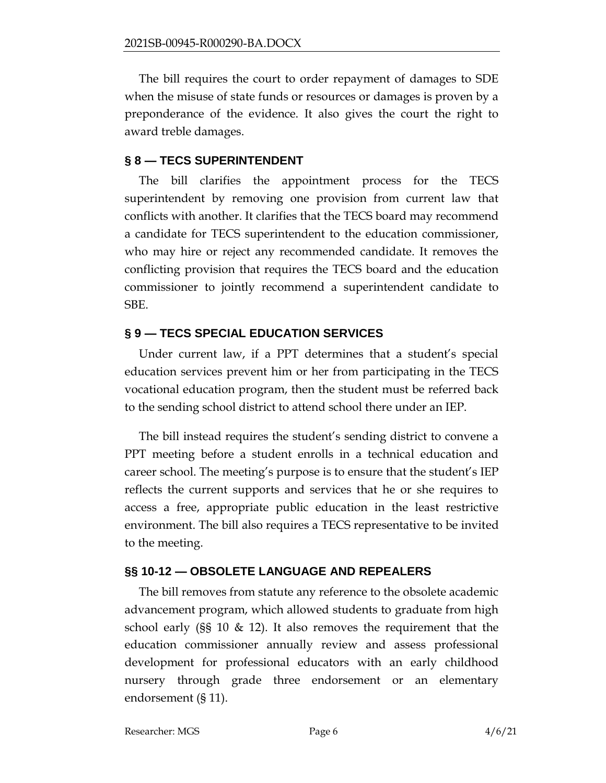The bill requires the court to order repayment of damages to SDE when the misuse of state funds or resources or damages is proven by a preponderance of the evidence. It also gives the court the right to award treble damages.

#### **§ 8 — TECS SUPERINTENDENT**

The bill clarifies the appointment process for the TECS superintendent by removing one provision from current law that conflicts with another. It clarifies that the TECS board may recommend a candidate for TECS superintendent to the education commissioner, who may hire or reject any recommended candidate. It removes the conflicting provision that requires the TECS board and the education commissioner to jointly recommend a superintendent candidate to SBE.

## **§ 9 — TECS SPECIAL EDUCATION SERVICES**

Under current law, if a PPT determines that a student's special education services prevent him or her from participating in the TECS vocational education program, then the student must be referred back to the sending school district to attend school there under an IEP.

The bill instead requires the student's sending district to convene a PPT meeting before a student enrolls in a technical education and career school. The meeting's purpose is to ensure that the student's IEP reflects the current supports and services that he or she requires to access a free, appropriate public education in the least restrictive environment. The bill also requires a TECS representative to be invited to the meeting.

#### **§§ 10-12 — OBSOLETE LANGUAGE AND REPEALERS**

The bill removes from statute any reference to the obsolete academic advancement program, which allowed students to graduate from high school early (§§ 10 & 12). It also removes the requirement that the education commissioner annually review and assess professional development for professional educators with an early childhood nursery through grade three endorsement or an elementary endorsement (§ 11).